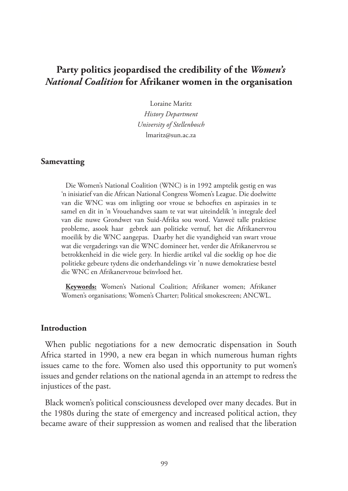# **Party politics jeopardised the credibility of the** *Women's National Coalition* **for Afrikaner women in the organisation**

Loraine Maritz *History Department University of Stellenbosch* lmaritz@sun.ac.za

#### **Samevatting**

Die Women's National Coalition (WNC) is in 1992 amptelik gestig en was 'n inisiatief van die African National Congress Women's League. Die doelwitte van die WNC was om inligting oor vroue se behoeftes en aspirasies in te samel en dit in 'n Vrouehandves saam te vat wat uiteindelik 'n integrale deel van die nuwe Grondwet van Suid-Afrika sou word. Vanweë talle praktiese probleme, asook haar gebrek aan politieke vernuf, het die Afrikanervrou moeilik by die WNC aangepas. Daarby het die vyandigheid van swart vroue wat die vergaderings van die WNC domineer het, verder die Afrikanervrou se betrokkenheid in die wiele gery. In hierdie artikel val die soeklig op hoe die politieke gebeure tydens die onderhandelings vir 'n nuwe demokratiese bestel die WNC en Afrikanervroue beïnvloed het.

**Keywords:** Women's National Coalition; Afrikaner women; Afrikaner Women's organisations; Women's Charter; Political smokescreen; ANCWL.

#### **Introduction**

When public negotiations for a new democratic dispensation in South Africa started in 1990, a new era began in which numerous human rights issues came to the fore. Women also used this opportunity to put women's issues and gender relations on the national agenda in an attempt to redress the injustices of the past.

Black women's political consciousness developed over many decades. But in the 1980s during the state of emergency and increased political action, they became aware of their suppression as women and realised that the liberation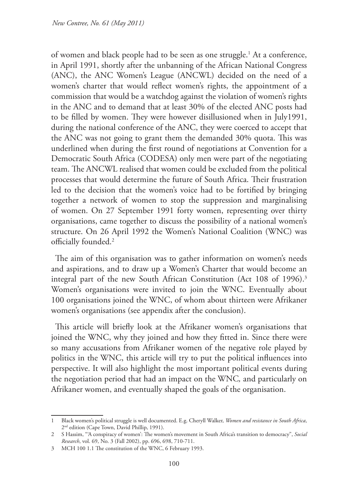of women and black people had to be seen as one struggle.1 At a conference, in April 1991, shortly after the unbanning of the African National Congress (ANC), the ANC Women's League (ANCWL) decided on the need of a women's charter that would reflect women's rights, the appointment of a commission that would be a watchdog against the violation of women's rights in the ANC and to demand that at least 30% of the elected ANC posts had to be filled by women. They were however disillusioned when in July1991, during the national conference of the ANC, they were coerced to accept that the ANC was not going to grant them the demanded 30% quota. This was underlined when during the first round of negotiations at Convention for a Democratic South Africa (CODESA) only men were part of the negotiating team. The ANCWL realised that women could be excluded from the political processes that would determine the future of South Africa. Their frustration led to the decision that the women's voice had to be fortified by bringing together a network of women to stop the suppression and marginalising of women. On 27 September 1991 forty women, representing over thirty organisations, came together to discuss the possibility of a national women's structure. On 26 April 1992 the Women's National Coalition (WNC) was officially founded.2

The aim of this organisation was to gather information on women's needs and aspirations, and to draw up a Women's Charter that would become an integral part of the new South African Constitution (Act 108 of 1996).<sup>3</sup> Women's organisations were invited to join the WNC. Eventually about 100 organisations joined the WNC, of whom about thirteen were Afrikaner women's organisations (see appendix after the conclusion).

This article will briefly look at the Afrikaner women's organisations that joined the WNC, why they joined and how they fitted in. Since there were so many accusations from Afrikaner women of the negative role played by politics in the WNC, this article will try to put the political influences into perspective. It will also highlight the most important political events during the negotiation period that had an impact on the WNC*,* and particularly on Afrikaner women, and eventually shaped the goals of the organisation.

<sup>1</sup> Black women's political struggle is well documented. E.g. Cheryll Walker, *Women and resistance in South Africa*, 2nd edition (Cape Town, David Phillip, 1991).

<sup>2</sup> S Hassim, "'A conspiracy of women': The women's movement in South Africa's transition to democracy", *Social Research*, vol. 69, No. 3 (Fall 2002), pp. 696, 698, 710-711.

<sup>3</sup> MCH 100 1.1 The constitution of the WNC, 6 February 1993.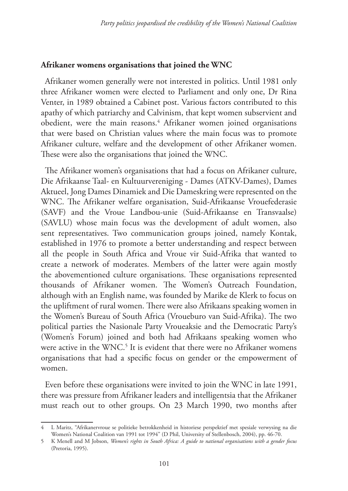#### **Afrikaner womens organisations that joined the WNC**

Afrikaner women generally were not interested in politics. Until 1981 only three Afrikaner women were elected to Parliament and only one, Dr Rina Venter, in 1989 obtained a Cabinet post. Various factors contributed to this apathy of which patriarchy and Calvinism, that kept women subservient and obedient, were the main reasons.4 Afrikaner women joined organisations that were based on Christian values where the main focus was to promote Afrikaner culture, welfare and the development of other Afrikaner women. These were also the organisations that joined the WNC.

The Afrikaner women's organisations that had a focus on Afrikaner culture, Die Afrikaanse Taal- en Kultuurvereniging - Dames (ATKV-Dames), Dames Aktueel, Jong Dames Dinamiek and Die Dameskring were represented on the WNC. The Afrikaner welfare organisation, Suid-Afrikaanse Vrouefederasie (SAVF) and the Vroue Landbou-unie (Suid-Afrikaanse en Transvaalse) (SAVLU) whose main focus was the development of adult women, also sent representatives. Two communication groups joined, namely Kontak, established in 1976 to promote a better understanding and respect between all the people in South Africa and Vroue vir Suid-Afrika that wanted to create a network of moderates. Members of the latter were again mostly the abovementioned culture organisations. These organisations represented thousands of Afrikaner women. The Women's Outreach Foundation, although with an English name, was founded by Marike de Klerk to focus on the upliftment of rural women. There were also Afrikaans speaking women in the Women's Bureau of South Africa (Vroueburo van Suid-Afrika). The two political parties the Nasionale Party Vroueaksie and the Democratic Party's (Women's Forum) joined and both had Afrikaans speaking women who were active in the WNC.<sup>5</sup> It is evident that there were no Afrikaner womens organisations that had a specific focus on gender or the empowerment of women.

Even before these organisations were invited to join the WNC in late 1991, there was pressure from Afrikaner leaders and intelligentsia that the Afrikaner must reach out to other groups. On 23 March 1990, two months after

<sup>4</sup> L Maritz, "Afrikanervroue se politieke betrokkenheid in historiese perspektief met spesiale verwysing na die Women's National Coalition van 1991 tot 1994" (D Phil, University of Stellenbosch, 2004), pp. 46-70.

<sup>5</sup> K Menell and M Jobson, *Women's rights in South Africa: A guide to national organisations with a gender focus* (Pretoria, 1995).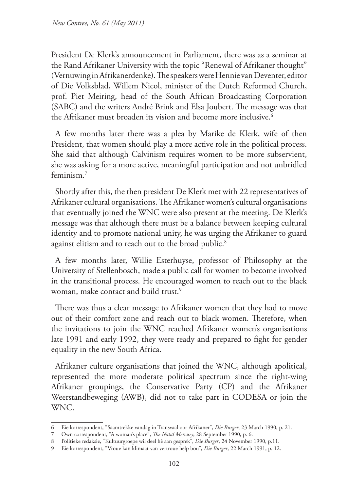President De Klerk's announcement in Parliament, there was as a seminar at the Rand Afrikaner University with the topic "Renewal of Afrikaner thought" (Vernuwing in Afrikanerdenke). The speakers were Hennie van Deventer, editor of Die Volksblad, Willem Nicol, minister of the Dutch Reformed Church, prof. Piet Meiring, head of the South African Broadcasting Corporation (SABC) and the writers André Brink and Elsa Joubert. The message was that the Afrikaner must broaden its vision and become more inclusive.<sup>6</sup>

A few months later there was a plea by Marike de Klerk, wife of then President, that women should play a more active role in the political process. She said that although Calvinism requires women to be more subservient, she was asking for a more active, meaningful participation and not unbridled feminism.7

Shortly after this, the then president De Klerk met with 22 representatives of Afrikaner cultural organisations. The Afrikaner women's cultural organisations that eventually joined the WNC were also present at the meeting. De Klerk's message was that although there must be a balance between keeping cultural identity and to promote national unity, he was urging the Afrikaner to guard against elitism and to reach out to the broad public.<sup>8</sup>

A few months later, Willie Esterhuyse, professor of Philosophy at the University of Stellenbosch, made a public call for women to become involved in the transitional process. He encouraged women to reach out to the black woman, make contact and build trust.<sup>9</sup>

There was thus a clear message to Afrikaner women that they had to move out of their comfort zone and reach out to black women. Therefore, when the invitations to join the WNC reached Afrikaner women's organisations late 1991 and early 1992, they were ready and prepared to fight for gender equality in the new South Africa.

Afrikaner culture organisations that joined the WNC, although apolitical, represented the more moderate political spectrum since the right-wing Afrikaner groupings, the Conservative Party (CP) and the Afrikaner Weerstandbeweging (AWB), did not to take part in CODESA or join the WNC.

<sup>6</sup> Eie korrespondent, "Saamtrekke vandag in Transvaal oor Afrikaner", *Die Burger*, 23 March 1990, p. 21.

<sup>7</sup> Own correspondent, "A woman's place", *The Natal Mercury*, 28 September 1990, p. 6.

<sup>8</sup> Politieke redaksie, "Kultuurgroepe wil deel hê aan gesprek", *Die Burger*, 24 November 1990, p.11.

<sup>9</sup> Eie korrespondent, "Vroue kan klimaat van vertroue help bou", *Die Burger*, 22 March 1991, p. 12.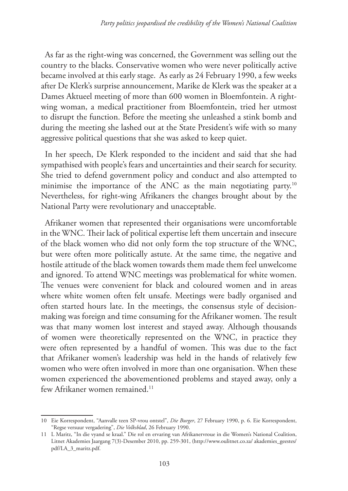As far as the right-wing was concerned, the Government was selling out the country to the blacks. Conservative women who were never politically active became involved at this early stage. As early as 24 February 1990, a few weeks after De Klerk's surprise announcement, Marike de Klerk was the speaker at a Dames Aktueel meeting of more than 600 women in Bloemfontein. A rightwing woman, a medical practitioner from Bloemfontein, tried her utmost to disrupt the function. Before the meeting she unleashed a stink bomb and during the meeting she lashed out at the State President's wife with so many aggressive political questions that she was asked to keep quiet.

In her speech, De Klerk responded to the incident and said that she had sympathised with people's fears and uncertainties and their search for security. She tried to defend government policy and conduct and also attempted to minimise the importance of the ANC as the main negotiating party.<sup>10</sup> Nevertheless, for right-wing Afrikaners the changes brought about by the National Party were revolutionary and unacceptable.

Afrikaner women that represented their organisations were uncomfortable in the WNC. Their lack of political expertise left them uncertain and insecure of the black women who did not only form the top structure of the WNC, but were often more politically astute. At the same time, the negative and hostile attitude of the black women towards them made them feel unwelcome and ignored. To attend WNC meetings was problematical for white women. The venues were convenient for black and coloured women and in areas where white women often felt unsafe. Meetings were badly organised and often started hours late. In the meetings, the consensus style of decisionmaking was foreign and time consuming for the Afrikaner women. The result was that many women lost interest and stayed away. Although thousands of women were theoretically represented on the WNC, in practice they were often represented by a handful of women. This was due to the fact that Afrikaner women's leadership was held in the hands of relatively few women who were often involved in more than one organisation. When these women experienced the abovementioned problems and stayed away, only a few Afrikaner women remained.<sup>11</sup>

<sup>10</sup> Eie Korrespondent, "Aanvalle teen SP-vrou ontstel", *Die Burger*, 27 February 1990, p. 6. Eie Korrespondent, "Regse versuur vergadering", *Die Volksblad*, 26 February 1990.

<sup>11</sup> L Maritz, "In die vyand se kraal." Die rol en ervaring van Afrikanervroue in die Women's National Coalition, Litnet Akademies Jaargang 7(3)-Desember 2010, pp. 259-301, (http://www.oulitnet.co.za/ akademies\_geestes/ pdf/LA\_3\_maritz.pdf.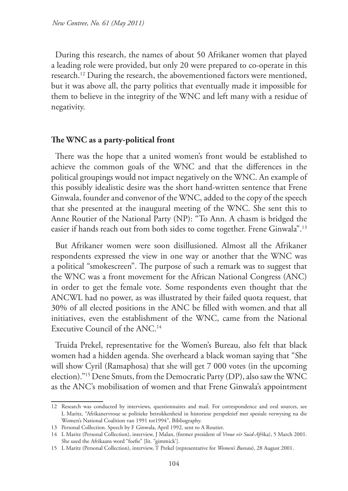During this research, the names of about 50 Afrikaner women that played a leading role were provided, but only 20 were prepared to co-operate in this research.12 During the research, the abovementioned factors were mentioned, but it was above all, the party politics that eventually made it impossible for them to believe in the integrity of the WNC and left many with a residue of negativity.

#### **The WNC as a party-political front**

There was the hope that a united women's front would be established to achieve the common goals of the WNC and that the differences in the political groupings would not impact negatively on the WNC. An example of this possibly idealistic desire was the short hand-written sentence that Frene Ginwala, founder and convenor of the WNC, added to the copy of the speech that she presented at the inaugural meeting of the WNC. She sent this to Anne Routier of the National Party (NP): "To Ann. A chasm is bridged the easier if hands reach out from both sides to come together. Frene Ginwala".<sup>13</sup>

But Afrikaner women were soon disillusioned. Almost all the Afrikaner respondents expressed the view in one way or another that the WNC was a political "smokescreen". The purpose of such a remark was to suggest that the WNC was a front movement for the African National Congress (ANC) in order to get the female vote. Some respondents even thought that the ANCWL had no power, as was illustrated by their failed quota request, that 30% of all elected positions in the ANC be filled with women, and that all initiatives, even the establishment of the WNC, came from the National Executive Council of the ANC.<sup>14</sup>

Truida Prekel, representative for the Women's Bureau, also felt that black women had a hidden agenda. She overheard a black woman saying that "She will show Cyril (Ramaphosa) that she will get 7 000 votes (in the upcoming election)."15 Dene Smuts, from the Democratic Party (DP), also saw the WNC as the ANC's mobilisation of women and that Frene Ginwala's appointment

<sup>12</sup> Research was conducted by interviews, questionnaires and mail. For correspondence and oral sources, see L Maritz, "Afrikanervroue se politieke betrokkenheid in historiese perspektief met spesiale verwysing na die Women's National Coalition van 1991 tot1994", Bibliography.

<sup>13</sup> Personal Collection. Speech by F Ginwala, April 1992, sent to A Routier.

<sup>14</sup> L Maritz (Personal Collection), interview, J Malan, (former president of *Vroue vir Suid-Afr*ika), 5 March 2001. She used the Afrikaans word "foefie" [lit. "gimmick'].

<sup>15</sup> L Maritz (Personal Collection), interview, T Prekel (representative for *Women's Bureau*), 28 August 2001.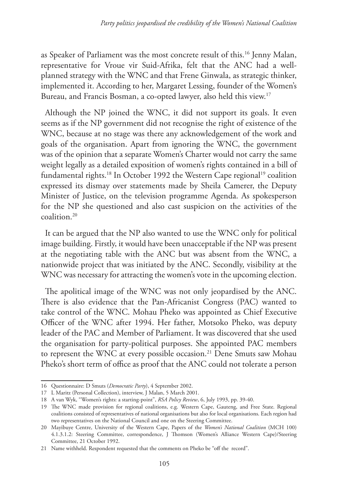as Speaker of Parliament was the most concrete result of this.16 Jenny Malan, representative for Vroue vir Suid-Afrika, felt that the ANC had a wellplanned strategy with the WNC and that Frene Ginwala, as strategic thinker, implemented it. According to her, Margaret Lessing, founder of the Women's Bureau, and Francis Bosman, a co-opted lawyer, also held this view.17

Although the NP joined the WNC, it did not support its goals. It even seems as if the NP government did not recognise the right of existence of the WNC, because at no stage was there any acknowledgement of the work and goals of the organisation. Apart from ignoring the WNC, the government was of the opinion that a separate Women's Charter would not carry the same weight legally as a detailed exposition of women's rights contained in a bill of fundamental rights.<sup>18</sup> In October 1992 the Western Cape regional<sup>19</sup> coalition expressed its dismay over statements made by Sheila Camerer, the Deputy Minister of Justice, on the television programme Agenda. As spokesperson for the NP she questioned and also cast suspicion on the activities of the coalition.20

It can be argued that the NP also wanted to use the WNC only for political image building. Firstly, it would have been unacceptable if the NP was present at the negotiating table with the ANC but was absent from the WNC, a nationwide project that was initiated by the ANC. Secondly, visibility at the WNC was necessary for attracting the women's vote in the upcoming election.

The apolitical image of the WNC was not only jeopardised by the ANC. There is also evidence that the Pan-Africanist Congress (PAC) wanted to take control of the WNC. Mohau Pheko was appointed as Chief Executive Officer of the WNC after 1994. Her father, Motsoko Pheko, was deputy leader of the PAC and Member of Parliament. It was discovered that she used the organisation for party-political purposes. She appointed PAC members to represent the WNC at every possible occasion.<sup>21</sup> Dene Smuts saw Mohau Pheko's short term of office as proof that the ANC could not tolerate a person

<sup>16</sup> Questionnaire: D Smuts (*Democratic Party*), 4 September 2002.

<sup>17</sup> L Maritz (Personal Collection), interview, J Malan, 5 March 2001.

<sup>18</sup> A van Wyk, "Women's rights: a starting-point", *RSA Policy Review*, 6, July 1993, pp. 39-40.

<sup>19</sup> The WNC made provision for regional coalitions, e.g. Western Cape, Gauteng, and Free State. Regional coalitions consisted of representatives of national organisations but also for local organisations. Each region had two representatives on the National Council and one on the Steering Committee.

<sup>20</sup> Mayibuye Centre, University of the Western Cape, Papers of the *Women's National Coalition* (MCH 100) 4.1.3.1.2: Steering Committee, correspondence, J Thomson (Women's Alliance Western Cape)/Steering Committee, 21 October 1992.

<sup>21</sup> Name withheld. Respondent requested that the comments on Pheko be "off the record".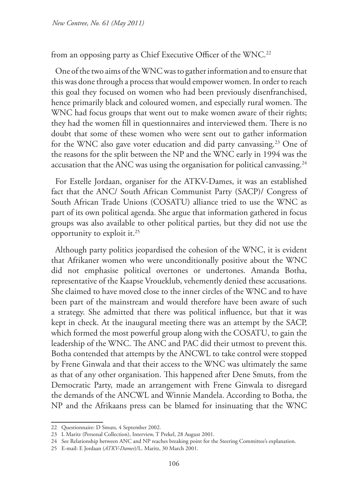from an opposing party as Chief Executive Officer of the WNC.<sup>22</sup>

One of the two aims of the WNC was to gather information and to ensure that this was done through a process that would empower women. In order to reach this goal they focused on women who had been previously disenfranchised, hence primarily black and coloured women, and especially rural women. The WNC had focus groups that went out to make women aware of their rights; they had the women fill in questionnaires and interviewed them. There is no doubt that some of these women who were sent out to gather information for the WNC also gave voter education and did party canvassing.23 One of the reasons for the split between the NP and the WNC early in 1994 was the accusation that the ANC was using the organisation for political canvassing.<sup>24</sup>

For Estelle Jordaan, organiser for the ATKV-Dames, it was an established fact that the ANC/ South African Communist Party (SACP)/ Congress of South African Trade Unions (COSATU) alliance tried to use the WNC as part of its own political agenda. She argue that information gathered in focus groups was also available to other political parties, but they did not use the opportunity to exploit it.25

Although party politics jeopardised the cohesion of the WNC, it is evident that Afrikaner women who were unconditionally positive about the WNC did not emphasise political overtones or undertones. Amanda Botha, representative of the Kaapse Vroueklub, vehemently denied these accusations. She claimed to have moved close to the inner circles of the WNC and to have been part of the mainstream and would therefore have been aware of such a strategy. She admitted that there was political influence, but that it was kept in check. At the inaugural meeting there was an attempt by the SACP, which formed the most powerful group along with the COSATU, to gain the leadership of the WNC. The ANC and PAC did their utmost to prevent this. Botha contended that attempts by the ANCWL to take control were stopped by Frene Ginwala and that their access to the WNC was ultimately the same as that of any other organisation. This happened after Dene Smuts, from the Democratic Party, made an arrangement with Frene Ginwala to disregard the demands of the ANCWL and Winnie Mandela. According to Botha, the NP and the Afrikaans press can be blamed for insinuating that the WNC

<sup>22</sup> Questionnaire: D Smuts, 4 September 2002.

<sup>23</sup> L Maritz (Personal Collection), Interview, T Prekel, 28 August 2001.

<sup>24</sup> See Relationship between ANC and NP reaches breaking point for the Steering Committee's explanation.

<sup>25</sup> E-mail: E Jordaan (*ATKV-Dames*)/L. Maritz, 30 March 2001.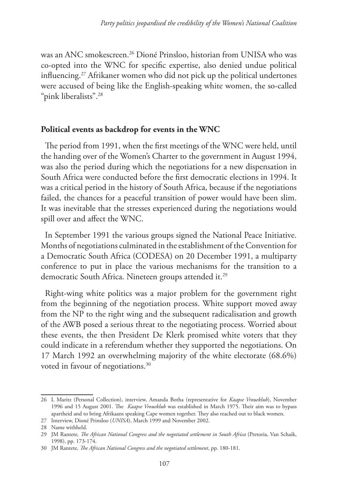was an ANC smokescreen.26 Dioné Prinsloo, historian from UNISA who was co-opted into the WNC for specific expertise, also denied undue political influencing.27 Afrikaner women who did not pick up the political undertones were accused of being like the English-speaking white women, the so-called "pink liberalists".28

## **Political events as backdrop for events in the WNC**

The period from 1991, when the first meetings of the WNC were held, until the handing over of the Women's Charter to the government in August 1994, was also the period during which the negotiations for a new dispensation in South Africa were conducted before the first democratic elections in 1994. It was a critical period in the history of South Africa, because if the negotiations failed, the chances for a peaceful transition of power would have been slim. It was inevitable that the stresses experienced during the negotiations would spill over and affect the WNC.

In September 1991 the various groups signed the National Peace Initiative. Months of negotiations culminated in the establishment of the Convention for a Democratic South Africa (CODESA) on 20 December 1991, a multiparty conference to put in place the various mechanisms for the transition to a democratic South Africa. Nineteen groups attended it.<sup>29</sup>

Right-wing white politics was a major problem for the government right from the beginning of the negotiation process. White support moved away from the NP to the right wing and the subsequent radicalisation and growth of the AWB posed a serious threat to the negotiating process. Worried about these events, the then President De Klerk promised white voters that they could indicate in a referendum whether they supported the negotiations. On 17 March 1992 an overwhelming majority of the white electorate (68.6%) voted in favour of negotiations.<sup>30</sup>

<sup>26</sup> L Maritz (Personal Collection), interview, Amanda Botha (representative for *Kaapse Vroueklub*), November 1996 and 15 August 2001. The *Kaapse Vroueklub* was established in March 1975. Their aim was to bypass apartheid and to bring Afrikaans speaking Cape women together. They also reached out to black women.

<sup>27</sup> Interview, Dioné Prinsloo (*UNISA*), March 1999 and November 2002.

<sup>28</sup> Name withheld.

<sup>29</sup> JM Rantete, The African National Congress and the negotiated settlement in South Africa (Pretoria, Van Schaik, 1998), pp. 173-174.

<sup>30</sup> JM Rantete*, The African National Congress and the negotiated settlement*, pp. 180-181.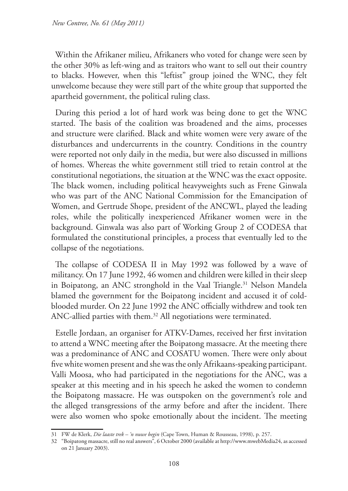Within the Afrikaner milieu, Afrikaners who voted for change were seen by the other 30% as left-wing and as traitors who want to sell out their country to blacks. However, when this "leftist" group joined the WNC, they felt unwelcome because they were still part of the white group that supported the apartheid government, the political ruling class.

During this period a lot of hard work was being done to get the WNC started. The basis of the coalition was broadened and the aims, processes and structure were clarified. Black and white women were very aware of the disturbances and undercurrents in the country. Conditions in the country were reported not only daily in the media, but were also discussed in millions of homes. Whereas the white government still tried to retain control at the constitutional negotiations, the situation at the WNC was the exact opposite. The black women, including political heavyweights such as Frene Ginwala who was part of the ANC National Commission for the Emancipation of Women, and Gertrude Shope, president of the ANCWL, played the leading roles, while the politically inexperienced Afrikaner women were in the background. Ginwala was also part of Working Group 2 of CODESA that formulated the constitutional principles, a process that eventually led to the collapse of the negotiations.

The collapse of CODESA II in May 1992 was followed by a wave of militancy. On 17 June 1992, 46 women and children were killed in their sleep in Boipatong, an ANC stronghold in the Vaal Triangle.<sup>31</sup> Nelson Mandela blamed the government for the Boipatong incident and accused it of coldblooded murder. On 22 June 1992 the ANC officially withdrew and took ten ANC-allied parties with them.<sup>32</sup> All negotiations were terminated.

Estelle Jordaan, an organiser for ATKV-Dames, received her first invitation to attend a WNC meeting after the Boipatong massacre. At the meeting there was a predominance of ANC and COSATU women. There were only about five white women present and she was the only Afrikaans-speaking participant. Valli Moosa, who had participated in the negotiations for the ANC, was a speaker at this meeting and in his speech he asked the women to condemn the Boipatong massacre. He was outspoken on the government's role and the alleged transgressions of the army before and after the incident. There were also women who spoke emotionally about the incident. The meeting

<sup>31</sup> FW de Klerk, *Die laaste trek – 'n nuwe begin* (Cape Town, Human & Rousseau, 1998), p. 257.

<sup>32</sup> "Boipatong massacre, still no real answers", 6 October 2000 (available at http://www.mwebMedia24, as accessed on 21 January 2003).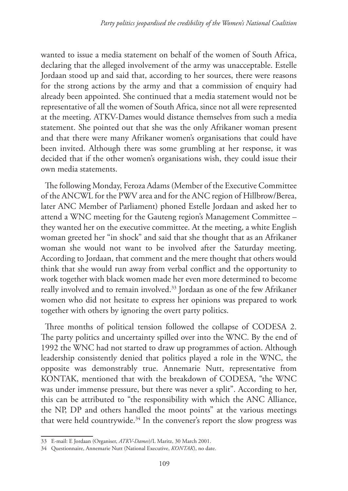wanted to issue a media statement on behalf of the women of South Africa, declaring that the alleged involvement of the army was unacceptable. Estelle Jordaan stood up and said that, according to her sources, there were reasons for the strong actions by the army and that a commission of enquiry had already been appointed. She continued that a media statement would not be representative of all the women of South Africa, since not all were represented at the meeting. ATKV-Dames would distance themselves from such a media statement. She pointed out that she was the only Afrikaner woman present and that there were many Afrikaner women's organisations that could have been invited. Although there was some grumbling at her response, it was decided that if the other women's organisations wish, they could issue their own media statements.

The following Monday, Feroza Adams (Member of the Executive Committee of the ANCWL for the PWV area and for the ANC region of Hillbrow/Berea, later ANC Member of Parliament) phoned Estelle Jordaan and asked her to attend a WNC meeting for the Gauteng region's Management Committee – they wanted her on the executive committee. At the meeting, a white English woman greeted her "in shock" and said that she thought that as an Afrikaner woman she would not want to be involved after the Saturday meeting. According to Jordaan, that comment and the mere thought that others would think that she would run away from verbal conflict and the opportunity to work together with black women made her even more determined to become really involved and to remain involved.33 Jordaan as one of the few Afrikaner women who did not hesitate to express her opinions was prepared to work together with others by ignoring the overt party politics.

Three months of political tension followed the collapse of CODESA 2. The party politics and uncertainty spilled over into the WNC. By the end of 1992 the WNC had not started to draw up programmes of action. Although leadership consistently denied that politics played a role in the WNC, the opposite was demonstrably true. Annemarie Nutt, representative from KONTAK, mentioned that with the breakdown of CODESA, "the WNC was under immense pressure, but there was never a split". According to her, this can be attributed to "the responsibility with which the ANC Alliance, the NP, DP and others handled the moot points" at the various meetings that were held countrywide.<sup>34</sup> In the convener's report the slow progress was

<sup>33</sup> E-mail: E Jordaan (Organiser, *ATKV-Dames*)/L Maritz, 30 March 2001.

<sup>34</sup> Questionnaire, Annemarie Nutt (National Executive, *KONTAK*), no date.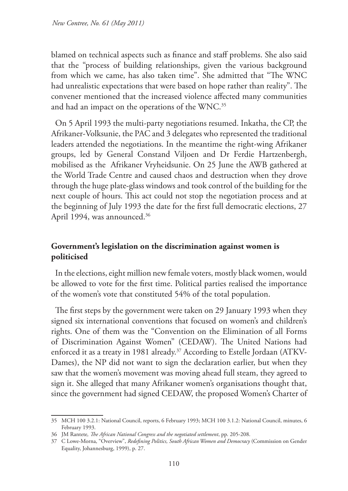blamed on technical aspects such as finance and staff problems. She also said that the "process of building relationships, given the various background from which we came, has also taken time". She admitted that "The WNC had unrealistic expectations that were based on hope rather than reality". The convener mentioned that the increased violence affected many communities and had an impact on the operations of the WNC.<sup>35</sup>

On 5 April 1993 the multi-party negotiations resumed. Inkatha, the CP, the Afrikaner-Volksunie, the PAC and 3 delegates who represented the traditional leaders attended the negotiations. In the meantime the right-wing Afrikaner groups, led by General Constand Viljoen and Dr Ferdie Hartzenbergh, mobilised as the Afrikaner Vryheidsunie. On 25 June the AWB gathered at the World Trade Centre and caused chaos and destruction when they drove through the huge plate-glass windows and took control of the building for the next couple of hours. This act could not stop the negotiation process and at the beginning of July 1993 the date for the first full democratic elections, 27 April 1994, was announced.<sup>36</sup>

## **Government's legislation on the discrimination against women is politicised**

In the elections, eight million new female voters, mostly black women, would be allowed to vote for the first time. Political parties realised the importance of the women's vote that constituted 54% of the total population.

The first steps by the government were taken on 29 January 1993 when they signed six international conventions that focused on women's and children's rights. One of them was the "Convention on the Elimination of all Forms of Discrimination Against Women" (CEDAW). The United Nations had enforced it as a treaty in 1981 already.<sup>37</sup> According to Estelle Jordaan (ATKV-Dames), the NP did not want to sign the declaration earlier, but when they saw that the women's movement was moving ahead full steam, they agreed to sign it. She alleged that many Afrikaner women's organisations thought that, since the government had signed CEDAW, the proposed Women's Charter of

<sup>35</sup> MCH 100 3.2.1: National Council, reports, 6 February 1993; MCH 100 3.1.2: National Council, minutes, 6 February 1993.

<sup>36</sup> JM Rantete*, The African National Congress and the negotiated settlement*, pp. 205-208.

<sup>37</sup> C Lowe-Morna, "Overview", *Redefining Politics, South African Women and Democracy* (Commission on Gender Equality, Johannesburg, 1999), p. 27.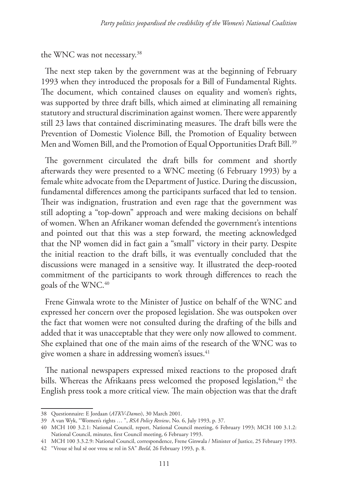#### the WNC was not necessary.<sup>38</sup>

The next step taken by the government was at the beginning of February 1993 when they introduced the proposals for a Bill of Fundamental Rights. The document, which contained clauses on equality and women's rights, was supported by three draft bills, which aimed at eliminating all remaining statutory and structural discrimination against women. There were apparently still 23 laws that contained discriminating measures. The draft bills were the Prevention of Domestic Violence Bill, the Promotion of Equality between Men and Women Bill, and the Promotion of Equal Opportunities Draft Bill.<sup>39</sup>

The government circulated the draft bills for comment and shortly afterwards they were presented to a WNC meeting (6 February 1993) by a female white advocate from the Department of Justice. During the discussion, fundamental differences among the participants surfaced that led to tension. Their was indignation, frustration and even rage that the government was still adopting a "top-down" approach and were making decisions on behalf of women. When an Afrikaner woman defended the government's intentions and pointed out that this was a step forward, the meeting acknowledged that the NP women did in fact gain a "small" victory in their party. Despite the initial reaction to the draft bills, it was eventually concluded that the discussions were managed in a sensitive way. It illustrated the deep-rooted commitment of the participants to work through differences to reach the goals of the WNC.40

Frene Ginwala wrote to the Minister of Justice on behalf of the WNC and expressed her concern over the proposed legislation. She was outspoken over the fact that women were not consulted during the drafting of the bills and added that it was unacceptable that they were only now allowed to comment. She explained that one of the main aims of the research of the WNC was to give women a share in addressing women's issues.<sup>41</sup>

The national newspapers expressed mixed reactions to the proposed draft bills. Whereas the Afrikaans press welcomed the proposed legislation,  $42$  the English press took a more critical view. The main objection was that the draft

<sup>38</sup> Questionnaire: E Jordaan (*ATKV-Dames*), 30 March 2001.

<sup>39</sup> A van Wyk, "Women's rights … ", *RSA Policy Review*, No. 6, July 1993, p. 37.

<sup>40</sup> MCH 100 3.2.1: National Council, report, National Council meeting, 6 February 1993; MCH 100 3.1.2: National Council, minutes, first Council meeting, 6 February 1993.

<sup>41</sup> MCH 100 3.3.2.9: National Council, correspondence, Frene Ginwala / Minister of Justice, 25 February 1993.

<sup>42</sup> "Vroue sê hul sê oor vrou se rol in SA" *Beeld*, 26 February 1993, p. 8.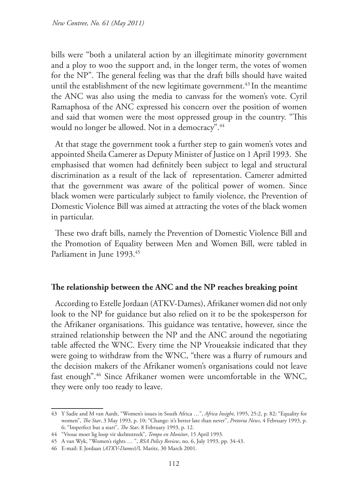bills were "both a unilateral action by an illegitimate minority government and a ploy to woo the support and, in the longer term, the votes of women for the NP". The general feeling was that the draft bills should have waited until the establishment of the new legitimate government.<sup>43</sup> In the meantime the ANC was also using the media to canvass for the women's vote. Cyril Ramaphosa of the ANC expressed his concern over the position of women and said that women were the most oppressed group in the country. "This would no longer be allowed. Not in a democracy".<sup>44</sup>

At that stage the government took a further step to gain women's votes and appointed Sheila Camerer as Deputy Minister of Justice on 1 April 1993. She emphasised that women had definitely been subject to legal and structural discrimination as a result of the lack of representation. Camerer admitted that the government was aware of the political power of women. Since black women were particularly subject to family violence, the Prevention of Domestic Violence Bill was aimed at attracting the votes of the black women in particular.

These two draft bills, namely the Prevention of Domestic Violence Bill and the Promotion of Equality between Men and Women Bill, were tabled in Parliament in June 1993.<sup>45</sup>

## **The relationship between the ANC and the NP reaches breaking point**

According to Estelle Jordaan (ATKV-Dames), Afrikaner women did not only look to the NP for guidance but also relied on it to be the spokesperson for the Afrikaner organisations. This guidance was tentative, however, since the strained relationship between the NP and the ANC around the negotiating table affected the WNC. Every time the NP Vroueaksie indicated that they were going to withdraw from the WNC, "there was a flurry of rumours and the decision makers of the Afrikaner women's organisations could not leave fast enough".46 Since Afrikaner women were uncomfortable in the WNC, they were only too ready to leave.

<sup>43</sup> Y Sadie and M van Aardt, "Women's issues in South Africa …", *Africa Insight*, 1995, 25:2, p. 82; "Equality for women", *The Star*, 3 May 1993, p. 10; "Change: it's better late than never", *Pretoria News*, 4 February 1993, p. 6; "Imperfect but a start", *The Star*, 8 February 1993, p. 12.

<sup>44</sup> "Vroue moet lig loop vir skelmstreek", *Tempo en Monitor*, 15 April 1993.

<sup>45</sup> A van Wyk, "Women's rights … ", *RSA Policy Review*, no. 6, July 1993, pp. 34-43.

<sup>46</sup> E-mail: E Jordaan (*ATKV-Dames*)/L Maritz, 30 March 2001.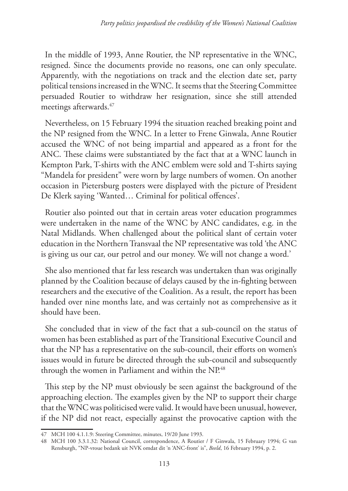In the middle of 1993, Anne Routier, the NP representative in the WNC, resigned. Since the documents provide no reasons, one can only speculate. Apparently, with the negotiations on track and the election date set, party political tensions increased in the WNC. It seems that the Steering Committee persuaded Routier to withdraw her resignation, since she still attended meetings afterwards.<sup>47</sup>

Nevertheless, on 15 February 1994 the situation reached breaking point and the NP resigned from the WNC. In a letter to Frene Ginwala, Anne Routier accused the WNC of not being impartial and appeared as a front for the ANC. These claims were substantiated by the fact that at a WNC launch in Kempton Park, T-shirts with the ANC emblem were sold and T-shirts saying "Mandela for president" were worn by large numbers of women. On another occasion in Pietersburg posters were displayed with the picture of President De Klerk saying 'Wanted… Criminal for political offences'.

Routier also pointed out that in certain areas voter education programmes were undertaken in the name of the WNC by ANC candidates, e.g. in the Natal Midlands. When challenged about the political slant of certain voter education in the Northern Transvaal the NP representative was told 'the ANC is giving us our car, our petrol and our money. We will not change a word.'

She also mentioned that far less research was undertaken than was originally planned by the Coalition because of delays caused by the in-fighting between researchers and the executive of the Coalition. As a result, the report has been handed over nine months late, and was certainly not as comprehensive as it should have been.

She concluded that in view of the fact that a sub-council on the status of women has been established as part of the Transitional Executive Council and that the NP has a representative on the sub-council, their efforts on women's issues would in future be directed through the sub-council and subsequently through the women in Parliament and within the NP.<sup>48</sup>

This step by the NP must obviously be seen against the background of the approaching election. The examples given by the NP to support their charge that the WNC was politicised were valid. It would have been unusual, however, if the NP did not react, especially against the provocative caption with the

<sup>47</sup> MCH 100 4.1.1.9: Steering Committee, minutes, 19/20 June 1993.

<sup>48</sup> MCH 100 3.3.1.32: National Council, correspondence, A Routier / F Ginwala, 15 February 1994; G van Rensburgh, "NP-vroue bedank uit NVK omdat dit 'n 'ANC-front' is", *Beeld*, 16 February 1994, p. 2.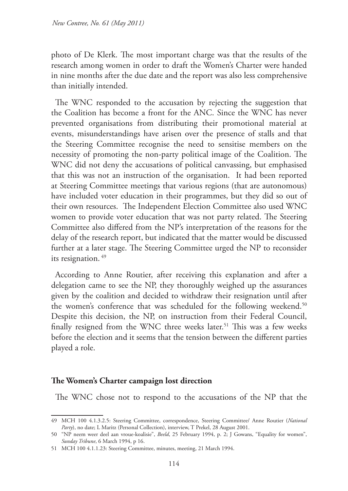photo of De Klerk. The most important charge was that the results of the research among women in order to draft the Women's Charter were handed in nine months after the due date and the report was also less comprehensive than initially intended.

The WNC responded to the accusation by rejecting the suggestion that the Coalition has become a front for the ANC. Since the WNC has never prevented organisations from distributing their promotional material at events, misunderstandings have arisen over the presence of stalls and that the Steering Committee recognise the need to sensitise members on the necessity of promoting the non-party political image of the Coalition. The WNC did not deny the accusations of political canvassing, but emphasised that this was not an instruction of the organisation. It had been reported at Steering Committee meetings that various regions (that are autonomous) have included voter education in their programmes, but they did so out of their own resources. The Independent Election Committee also used WNC women to provide voter education that was not party related. The Steering Committee also differed from the NP's interpretation of the reasons for the delay of the research report, but indicated that the matter would be discussed further at a later stage. The Steering Committee urged the NP to reconsider its resignation.<sup>49</sup>

According to Anne Routier, after receiving this explanation and after a delegation came to see the NP, they thoroughly weighed up the assurances given by the coalition and decided to withdraw their resignation until after the women's conference that was scheduled for the following weekend.<sup>50</sup> Despite this decision, the NP, on instruction from their Federal Council, finally resigned from the WNC three weeks later.<sup>51</sup> This was a few weeks before the election and it seems that the tension between the different parties played a role.

#### **The Women's Charter campaign lost direction**

The WNC chose not to respond to the accusations of the NP that the

<sup>49</sup> MCH 100 4.1.3.2.5: Steering Committee, correspondence, Steering Committee/ Anne Routier (*National Party*), no date; L Maritz (Personal Collection), interview, T Prekel, 28 August 2001.

<sup>50</sup> "NP neem weer deel aan vroue-koalisie", *Beeld*, 25 February 1994, p. 2; J Gowans, "Equality for women", *Sunday Tribune*, 6 March 1994, p 16.

<sup>51</sup> MCH 100 4.1.1.23: Steering Committee, minutes, meeting, 21 March 1994.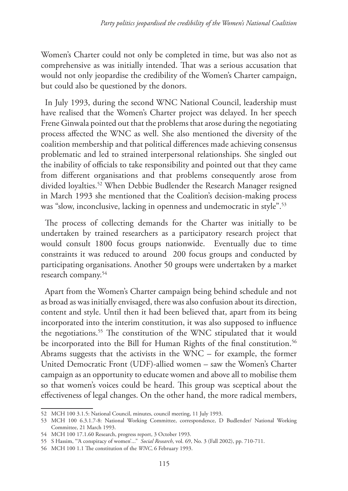Women's Charter could not only be completed in time, but was also not as comprehensive as was initially intended. That was a serious accusation that would not only jeopardise the credibility of the Women's Charter campaign, but could also be questioned by the donors.

In July 1993, during the second WNC National Council, leadership must have realised that the Women's Charter project was delayed. In her speech Frene Ginwala pointed out that the problems that arose during the negotiating process affected the WNC as well. She also mentioned the diversity of the coalition membership and that political differences made achieving consensus problematic and led to strained interpersonal relationships. She singled out the inability of officials to take responsibility and pointed out that they came from different organisations and that problems consequently arose from divided loyalties.<sup>52</sup> When Debbie Budlender the Research Manager resigned in March 1993 she mentioned that the Coalition's decision-making process was "slow, inconclusive, lacking in openness and undemocratic in style".<sup>53</sup>

The process of collecting demands for the Charter was initially to be undertaken by trained researchers as a participatory research project that would consult 1800 focus groups nationwide. Eventually due to time constraints it was reduced to around 200 focus groups and conducted by participating organisations. Another 50 groups were undertaken by a market research company.54

Apart from the Women's Charter campaign being behind schedule and not as broad as was initially envisaged, there was also confusion about its direction, content and style. Until then it had been believed that, apart from its being incorporated into the interim constitution, it was also supposed to influence the negotiations.55 The constitution of the WNC stipulated that it would be incorporated into the Bill for Human Rights of the final constitution.<sup>56</sup> Abrams suggests that the activists in the WNC – for example, the former United Democratic Front (UDF)-allied women – saw the Women's Charter campaign as an opportunity to educate women and above all to mobilise them so that women's voices could be heard. This group was sceptical about the effectiveness of legal changes. On the other hand, the more radical members,

<sup>52</sup> MCH 100 3.1.5: National Council, minutes, council meeting, 11 July 1993.

<sup>53</sup> MCH 100 6.3.1.7-8: National Working Committee, correspondence, D Budlender/ National Working Committee, 21 March 1993.

<sup>54</sup> MCH 100 17.1.60 Research, progress report, 3 October 1993.

<sup>55</sup> S Hassim, "'A conspiracy of women'..." *Social Research*, vol. 69, No. 3 (Fall 2002), pp. 710-711.

<sup>56</sup> MCH 100 1.1 The constitution of the *WNC*, 6 February 1993.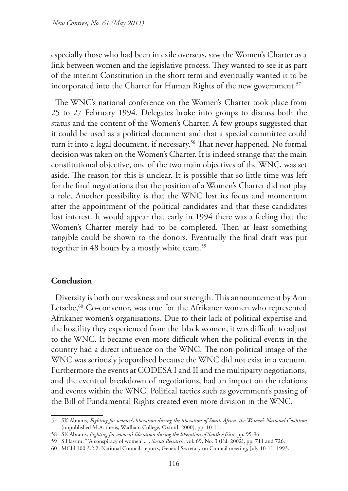especially those who had been in exile overseas, saw the Women's Charter as a link between women and the legislative process. They wanted to see it as part of the interim Constitution in the short term and eventually wanted it to be incorporated into the Charter for Human Rights of the new government.<sup>57</sup>

The WNC's national conference on the Women's Charter took place from 25 to 27 February 1994. Delegates broke into groups to discuss both the status and the content of the Women's Charter. A few groups suggested that it could be used as a political document and that a special committee could turn it into a legal document, if necessary.<sup>58</sup> That never happened. No formal decision was taken on the Women's Charter. It is indeed strange that the main constitutional objective, one of the two main objectives of the WNC, was set aside. The reason for this is unclear. It is possible that so little time was left for the final negotiations that the position of a Women's Charter did not play a role. Another possibility is that the WNC lost its focus and momentum after the appointment of the political candidates and that these candidates lost interest. It would appear that early in 1994 there was a feeling that the Women's Charter merely had to be completed. Then at least something tangible could be shown to the donors. Eventually the final draft was put together in 48 hours by a mostly white team.<sup>59</sup>

## **Conclusion**

Diversity is both our weakness and our strength. This announcement by Ann Letsebe,<sup>60</sup> Co-convenor, was true for the Afrikaner women who represented Afrikaner women's organisations. Due to their lack of political expertise and the hostility they experienced from the black women, it was difficult to adjust to the WNC. It became even more difficult when the political events in the country had a direct influence on the WNC. The non-political image of the WNC was seriously jeopardised because the WNC did not exist in a vacuum. Furthermore the events at CODESA I and II and the multiparty negotiations, and the eventual breakdown of negotiations, had an impact on the relations and events within the WNC. Political tactics such as government's passing of the Bill of Fundamental Rights created even more division in the WNC.

<sup>57</sup> SK Abrams, *Fighting for women's liberation during the liberation of South Africa: the Women's National Coalition*  (unpublished M.A. thesis, Wadham College, Oxford, 2000), pp. 10-11.

<sup>58</sup> SK Abrams, *Fighting for women's liberation during the liberation of South Africa*, pp. 95-96.

<sup>59</sup> S Hassim, "'A conspiracy of women'...", *Social Research*, vol. 69, No. 3 (Fall 2002), pp. 711 and 726.

<sup>60</sup> MCH 100 3.2.2: National Council, reports, General Secretary on Council meeting, July 10-11, 1993.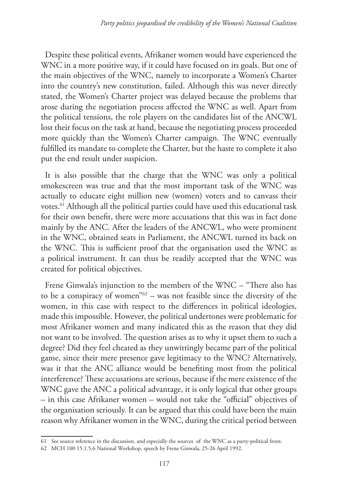Despite these political events, Afrikaner women would have experienced the WNC in a more positive way, if it could have focused on its goals. But one of the main objectives of the WNC, namely to incorporate a Women's Charter into the country's new constitution, failed. Although this was never directly stated, the Women's Charter project was delayed because the problems that arose during the negotiation process affected the WNC as well. Apart from the political tensions, the role players on the candidates list of the ANCWL lost their focus on the task at hand, because the negotiating process proceeded more quickly than the Women's Charter campaign. The WNC eventually fulfilled its mandate to complete the Charter, but the haste to complete it also put the end result under suspicion.

It is also possible that the charge that the WNC was only a political smokescreen was true and that the most important task of the WNC was actually to educate eight million new (women) voters and to canvass their votes.61 Although all the political parties could have used this educational task for their own benefit, there were more accusations that this was in fact done mainly by the ANC. After the leaders of the ANCWL, who were prominent in the WNC, obtained seats in Parliament, the ANCWL turned its back on the WNC. This is sufficient proof that the organisation used the WNC as a political instrument. It can thus be readily accepted that the WNC was created for political objectives.

Frene Ginwala's injunction to the members of the WNC – "There also has to be a conspiracy of women"62 – was not feasible since the diversity of the women, in this case with respect to the differences in political ideologies, made this impossible. However, the political undertones were problematic for most Afrikaner women and many indicated this as the reason that they did not want to be involved. The question arises as to why it upset them to such a degree? Did they feel cheated as they unwittingly became part of the political game, since their mere presence gave legitimacy to the WNC? Alternatively, was it that the ANC alliance would be benefiting most from the political interference? These accusations are serious, because if the mere existence of the WNC gave the ANC a political advantage, it is only logical that other groups – in this case Afrikaner women – would not take the "official" objectives of the organisation seriously. It can be argued that this could have been the main reason why Afrikaner women in the WNC, during the critical period between

<sup>61</sup> See source reference in the discussion, and especially the sources of the WNC as a party-political front.

<sup>62</sup> MCH 100 15.1.5.6 National Workshop, speech by Frene Ginwala, 25-26 April 1992.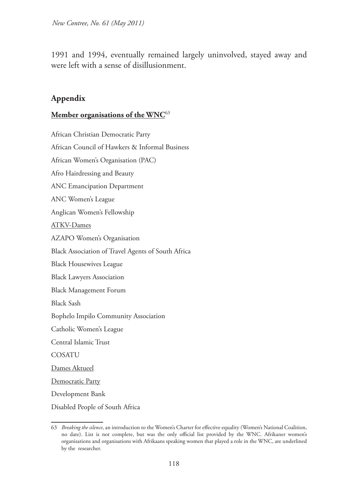1991 and 1994, eventually remained largely uninvolved, stayed away and were left with a sense of disillusionment.

## **Appendix**

#### **Member organisations of the WNC**<sup>63</sup>

African Christian Democratic Party African Council of Hawkers & Informal Business African Women's Organisation (PAC) Afro Hairdressing and Beauty ANC Emancipation Department ANC Women's League Anglican Women's Fellowship ATKV-Dames AZAPO Women's Organisation Black Association of Travel Agents of South Africa Black Housewives League Black Lawyers Association Black Management Forum Black Sash Bophelo Impilo Community Association Catholic Women's League Central Islamic Trust COSATU Dames Aktueel Democratic Party Development Bank Disabled People of South Africa

<sup>63</sup> *Breaking the silence*, an introduction to the Women's Charter for effective equality (Women's National Coalition, no date). List is not complete, but was the only official list provided by the WNC. Afrikaner women's organisations and organisations with Afrikaans speaking women that played a role in the WNC, are underlined by the researcher.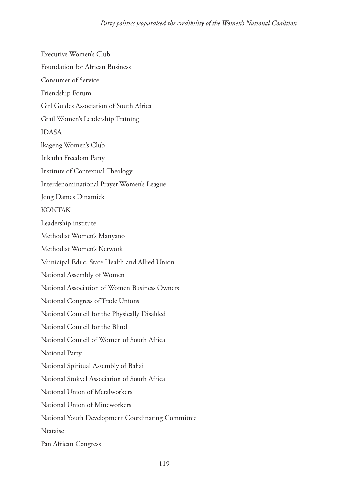Executive Women's Club Foundation for African Business Consumer of Service Friendship Forum Girl Guides Association of South Africa Grail Women's Leadership Training IDASA lkageng Women's Club Inkatha Freedom Party Institute of Contextual Theology Interdenominational Prayer Women's League Jong Dames Dinamiek KONTAK Leadership institute Methodist Women's Manyano Methodist Women's Network Municipal Educ. State Health and Allied Union National Assembly of Women National Association of Women Business Owners National Congress of Trade Unions National Council for the Physically Disabled National Council for the Blind National Council of Women of South Africa National Party National Spiritual Assembly of Bahai National Stokvel Association of South Africa National Union of Metalworkers National Union of Mineworkers National Youth Development Coordinating Committee Ntataise Pan African Congress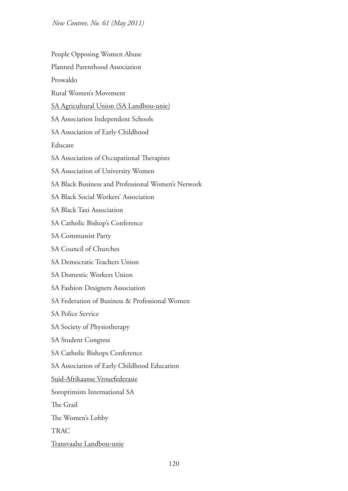*New Contree, No. 61 (May 2011)*

People Opposing Women Abuse

Planned Parenthood Association

Prowaldo

Rural Women's Movement

SA Agricultural Union (SA Landbou-unie)

- SA Association Independent Schools
- SA Association of Early Childhood

Educare

- SA Association of Occupational Therapists
- SA Association of University Women
- SA Black Business and Professional Women's Network
- SA Black Social Workers' Association
- SA Black Taxi Association
- SA Catholic Bishop's Conference

SA Communist Party

- SA Council of Churches
- SA Democratic Teachers Union
- SA Domestic Workers Union
- SA Fashion Designers Association
- SA Federation of Business & Professional Women
- SA Police Service

SA Society of Physiotherapy

- SA Student Congress
- SA Catholic Bishops Conference
- SA Association of Early Childhood Education

Suid-Afrikaanse Vrouefederasie

Soroptimists International SA

The Grail

The Women's Lobby

TRAC

Transvaalse Landbou-unie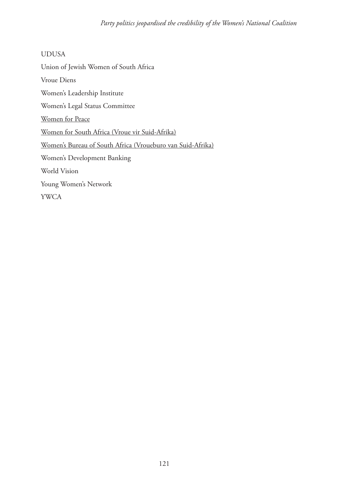UDUSA Union of Jewish Women of South Africa Vroue Diens Women's Leadership Institute Women's Legal Status Committee Women for Peace Women for South Africa (Vroue vir Suid-Afrika) Women's Bureau of South Africa (Vroueburo van Suid-Afrika) Women's Development Banking World Vision Young Women's Network YWCA